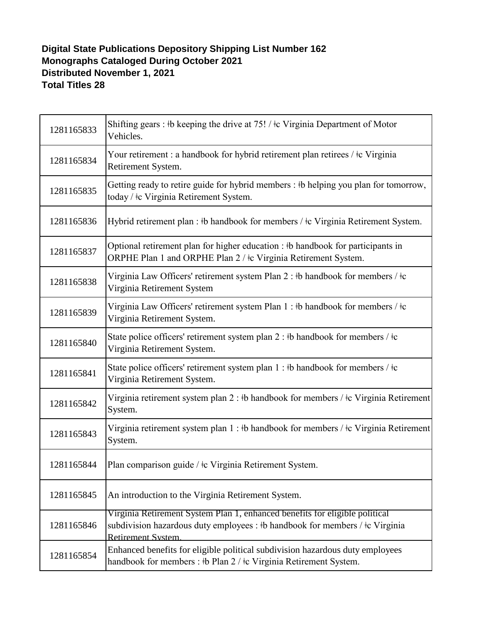## **Digital State Publications Depository Shipping List Number 162 Monographs Cataloged During October 2021 Distributed November 1, 2021 Total Titles 28**

| 1281165833 | Shifting gears : #b keeping the drive at $75!$ / $\pm$ c Virginia Department of Motor<br>Vehicles.                                                                                      |
|------------|-----------------------------------------------------------------------------------------------------------------------------------------------------------------------------------------|
| 1281165834 | Your retirement : a handbook for hybrid retirement plan retirees / ‡c Virginia<br>Retirement System.                                                                                    |
| 1281165835 | Getting ready to retire guide for hybrid members : #b helping you plan for tomorrow,<br>today / ‡c Virginia Retirement System.                                                          |
| 1281165836 | Hybrid retirement plan : #b handbook for members / #c Virginia Retirement System.                                                                                                       |
| 1281165837 | Optional retirement plan for higher education : #b handbook for participants in<br>ORPHE Plan 1 and ORPHE Plan 2 / ‡c Virginia Retirement System.                                       |
| 1281165838 | Virginia Law Officers' retirement system Plan 2 : #b handbook for members / $\pm c$<br>Virginia Retirement System                                                                       |
| 1281165839 | Virginia Law Officers' retirement system Plan $1 : \mathsf{b}$ handbook for members / $\mathsf{t}$ c<br>Virginia Retirement System.                                                     |
| 1281165840 | State police officers' retirement system plan 2 : $\frac{1}{2}$ handbook for members / $\frac{1}{2}$ c<br>Virginia Retirement System.                                                   |
| 1281165841 | State police officers' retirement system plan $1 : \mathsf{b}$ handbook for members / $\mathsf{t}$ c<br>Virginia Retirement System.                                                     |
| 1281165842 | Virginia retirement system plan $2:$ #b handbook for members / $\pm c$ Virginia Retirement<br>System.                                                                                   |
| 1281165843 | Virginia retirement system plan 1 : #b handbook for members / $\pm c$ Virginia Retirement<br>System.                                                                                    |
| 1281165844 | Plan comparison guide / ‡c Virginia Retirement System.                                                                                                                                  |
| 1281165845 | An introduction to the Virginia Retirement System.                                                                                                                                      |
| 1281165846 | Virginia Retirement System Plan 1, enhanced benefits for eligible political<br>subdivision hazardous duty employees : #b handbook for members / #c Virginia<br><b>Retirement System</b> |
| 1281165854 | Enhanced benefits for eligible political subdivision hazardous duty employees<br>handbook for members : #b Plan 2 / #c Virginia Retirement System.                                      |